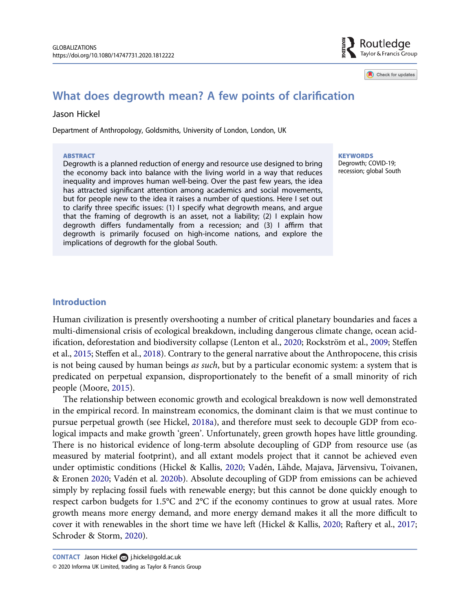

Check for updates

# <span id="page-0-0"></span>What does degrowth mean? A few points of clarification

#### Jason Hickel

Department of Anthropology, Goldsmiths, University of London, London, UK

#### **ABSTRACT**

Degrowth is a planned reduction of energy and resource use designed to bring the economy back into balance with the living world in a way that reduces inequality and improves human well-being. Over the past few years, the idea has attracted significant attention among academics and social movements, but for people new to the idea it raises a number of questions. Here I set out to clarify three specific issues: (1) I specify what degrowth means, and argue that the framing of degrowth is an asset, not a liability; (2) I explain how degrowth differs fundamentally from a recession; and (3) I affirm that degrowth is primarily focused on high-income nations, and explore the implications of degrowth for the global South.

**KEYWORDS** Degrowth; COVID-19; recession; global South

### Introduction

Human civilization is presently overshooting a number of critical planetary boundaries and faces a multi-dimensional crisis of ecological breakdown, including dangerous climate change, ocean acidification, deforestation and biodiversity collapse (Lenton et al., [2020;](#page-6-0) Rockström et al., [2009](#page-6-0); Steffen et al., [2015](#page-6-0); Steffen et al., [2018](#page-6-0)). Contrary to the general narrative about the Anthropocene, this crisis is not being caused by human beings *as such*, but by a particular economic system: a system that is predicated on perpetual expansion, disproportionately to the benefit of a small minority of rich people (Moore, [2015\)](#page-6-0).

The relationship between economic growth and ecological breakdown is now well demonstrated in the empirical record. In mainstream economics, the dominant claim is that we must continue to pursue perpetual growth (see Hickel, [2018a\)](#page-6-0), and therefore must seek to decouple GDP from ecological impacts and make growth 'green'. Unfortunately, green growth hopes have little grounding. There is no historical evidence of long-term absolute decoupling of GDP from resource use (as measured by material footprint), and all extant models project that it cannot be achieved even under optimistic conditions (Hickel & Kallis, [2020](#page-6-0); Vadén, Lähde, Majava, Järvensivu, Toivanen, & Eronen [2020](#page-6-0); Vadén et al. [2020b](#page-6-0)). Absolute decoupling of GDP from emissions can be achieved simply by replacing fossil fuels with renewable energy; but this cannot be done quickly enough to respect carbon budgets for 1.5°C and 2°C if the economy continues to grow at usual rates. More growth means more energy demand, and more energy demand makes it all the more difficult to cover it with renewables in the short time we have left (Hickel & Kallis, [2020](#page-6-0); Raftery et al., [2017](#page-6-0); Schroder & Storm, [2020](#page-6-0)).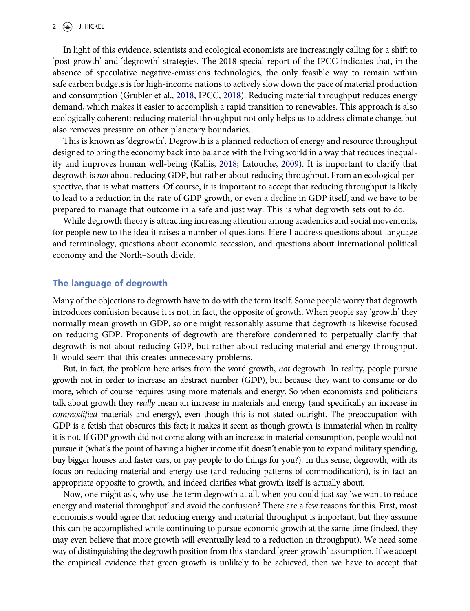<span id="page-1-0"></span>In light of this evidence, scientists and ecological economists are increasingly calling for a shift to 'post-growth' and 'degrowth' strategies. The 2018 special report of the IPCC indicates that, in the absence of speculative negative-emissions technologies, the only feasible way to remain within safe carbon budgets is for high-income nations to actively slow down the pace of material production and consumption (Grubler et al., [2018](#page-6-0); IPCC, [2018\)](#page-6-0). Reducing material throughput reduces energy demand, which makes it easier to accomplish a rapid transition to renewables. This approach is also ecologically coherent: reducing material throughput not only helps us to address climate change, but also removes pressure on other planetary boundaries.

This is known as 'degrowth'. Degrowth is a planned reduction of energy and resource throughput designed to bring the economy back into balance with the living world in a way that reduces inequality and improves human well-being (Kallis, [2018](#page-6-0); Latouche, [2009\)](#page-6-0). It is important to clarify that degrowth is not about reducing GDP, but rather about reducing throughput. From an ecological perspective, that is what matters. Of course, it is important to accept that reducing throughput is likely to lead to a reduction in the rate of GDP growth, or even a decline in GDP itself, and we have to be prepared to manage that outcome in a safe and just way. This is what degrowth sets out to do.

While degrowth theory is attracting increasing attention among academics and social movements, for people new to the idea it raises a number of questions. Here I address questions about language and terminology, questions about economic recession, and questions about international political economy and the North–South divide.

### The language of degrowth

Many of the objections to degrowth have to do with the term itself. Some people worry that degrowth introduces confusion because it is not, in fact, the opposite of growth. When people say 'growth' they normally mean growth in GDP, so one might reasonably assume that degrowth is likewise focused on reducing GDP. Proponents of degrowth are therefore condemned to perpetually clarify that degrowth is not about reducing GDP, but rather about reducing material and energy throughput. It would seem that this creates unnecessary problems.

But, in fact, the problem here arises from the word growth, not degrowth. In reality, people pursue growth not in order to increase an abstract number (GDP), but because they want to consume or do more, which of course requires using more materials and energy. So when economists and politicians talk about growth they really mean an increase in materials and energy (and specifically an increase in commodified materials and energy), even though this is not stated outright. The preoccupation with GDP is a fetish that obscures this fact; it makes it seem as though growth is immaterial when in reality it is not. If GDP growth did not come along with an increase in material consumption, people would not pursue it (what's the point of having a higher income if it doesn't enable you to expand military spending, buy bigger houses and faster cars, or pay people to do things for you?). In this sense, degrowth, with its focus on reducing material and energy use (and reducing patterns of commodification), is in fact an appropriate opposite to growth, and indeed clarifies what growth itself is actually about.

Now, one might ask, why use the term degrowth at all, when you could just say 'we want to reduce energy and material throughput' and avoid the confusion? There are a few reasons for this. First, most economists would agree that reducing energy and material throughput is important, but they assume this can be accomplished while continuing to pursue economic growth at the same time (indeed, they may even believe that more growth will eventually lead to a reduction in throughput). We need some way of distinguishing the degrowth position from this standard 'green growth' assumption. If we accept the empirical evidence that green growth is unlikely to be achieved, then we have to accept that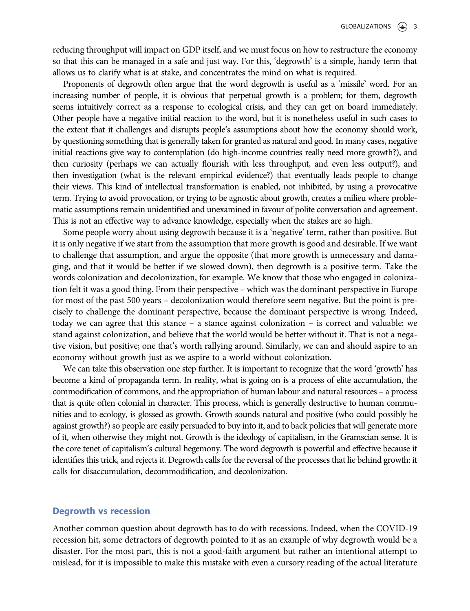reducing throughput will impact on GDP itself, and we must focus on how to restructure the economy so that this can be managed in a safe and just way. For this, 'degrowth' is a simple, handy term that allows us to clarify what is at stake, and concentrates the mind on what is required.

Proponents of degrowth often argue that the word degrowth is useful as a 'missile' word. For an increasing number of people, it is obvious that perpetual growth is a problem; for them, degrowth seems intuitively correct as a response to ecological crisis, and they can get on board immediately. Other people have a negative initial reaction to the word, but it is nonetheless useful in such cases to the extent that it challenges and disrupts people's assumptions about how the economy should work, by questioning something that is generally taken for granted as natural and good. In many cases, negative initial reactions give way to contemplation (do high-income countries really need more growth?), and then curiosity (perhaps we can actually flourish with less throughput, and even less output?), and then investigation (what is the relevant empirical evidence?) that eventually leads people to change their views. This kind of intellectual transformation is enabled, not inhibited, by using a provocative term. Trying to avoid provocation, or trying to be agnostic about growth, creates a milieu where problematic assumptions remain unidentified and unexamined in favour of polite conversation and agreement. This is not an effective way to advance knowledge, especially when the stakes are so high.

Some people worry about using degrowth because it is a 'negative' term, rather than positive. But it is only negative if we start from the assumption that more growth is good and desirable. If we want to challenge that assumption, and argue the opposite (that more growth is unnecessary and damaging, and that it would be better if we slowed down), then degrowth is a positive term. Take the words colonization and decolonization, for example. We know that those who engaged in colonization felt it was a good thing. From their perspective – which was the dominant perspective in Europe for most of the past 500 years – decolonization would therefore seem negative. But the point is precisely to challenge the dominant perspective, because the dominant perspective is wrong. Indeed, today we can agree that this stance – a stance against colonization – is correct and valuable: we stand against colonization, and believe that the world would be better without it. That is not a negative vision, but positive; one that's worth rallying around. Similarly, we can and should aspire to an economy without growth just as we aspire to a world without colonization.

We can take this observation one step further. It is important to recognize that the word 'growth' has become a kind of propaganda term. In reality, what is going on is a process of elite accumulation, the commodification of commons, and the appropriation of human labour and natural resources – a process that is quite often colonial in character. This process, which is generally destructive to human communities and to ecology, is glossed as growth. Growth sounds natural and positive (who could possibly be against growth?) so people are easily persuaded to buy into it, and to back policies that will generate more of it, when otherwise they might not. Growth is the ideology of capitalism, in the Gramscian sense. It is the core tenet of capitalism's cultural hegemony. The word degrowth is powerful and effective because it identifies this trick, and rejects it. Degrowth calls for the reversal of the processes that lie behind growth: it calls for disaccumulation, decommodification, and decolonization.

### Degrowth vs recession

Another common question about degrowth has to do with recessions. Indeed, when the COVID-19 recession hit, some detractors of degrowth pointed to it as an example of why degrowth would be a disaster. For the most part, this is not a good-faith argument but rather an intentional attempt to mislead, for it is impossible to make this mistake with even a cursory reading of the actual literature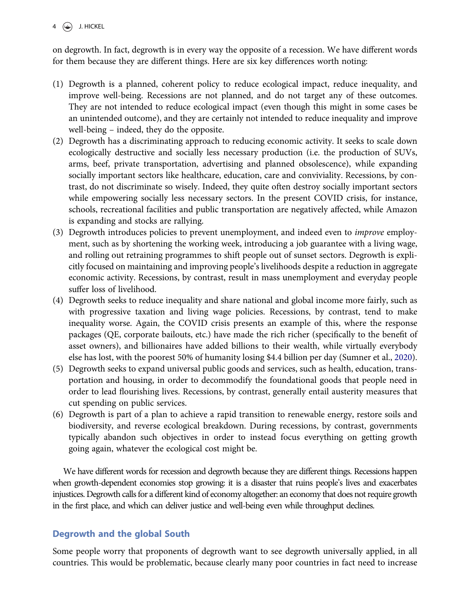## <span id="page-3-0"></span> $4 \quad \circledcirc$  J. HICKEL

on degrowth. In fact, degrowth is in every way the opposite of a recession. We have different words for them because they are different things. Here are six key differences worth noting:

- (1) Degrowth is a planned, coherent policy to reduce ecological impact, reduce inequality, and improve well-being. Recessions are not planned, and do not target any of these outcomes. They are not intended to reduce ecological impact (even though this might in some cases be an unintended outcome), and they are certainly not intended to reduce inequality and improve well-being – indeed, they do the opposite.
- (2) Degrowth has a discriminating approach to reducing economic activity. It seeks to scale down ecologically destructive and socially less necessary production (i.e. the production of SUVs, arms, beef, private transportation, advertising and planned obsolescence), while expanding socially important sectors like healthcare, education, care and conviviality. Recessions, by contrast, do not discriminate so wisely. Indeed, they quite often destroy socially important sectors while empowering socially less necessary sectors. In the present COVID crisis, for instance, schools, recreational facilities and public transportation are negatively affected, while Amazon is expanding and stocks are rallying.
- (3) Degrowth introduces policies to prevent unemployment, and indeed even to improve employment, such as by shortening the working week, introducing a job guarantee with a living wage, and rolling out retraining programmes to shift people out of sunset sectors. Degrowth is explicitly focused on maintaining and improving people's livelihoods despite a reduction in aggregate economic activity. Recessions, by contrast, result in mass unemployment and everyday people suffer loss of livelihood.
- (4) Degrowth seeks to reduce inequality and share national and global income more fairly, such as with progressive taxation and living wage policies. Recessions, by contrast, tend to make inequality worse. Again, the COVID crisis presents an example of this, where the response packages (QE, corporate bailouts, etc.) have made the rich richer (specifically to the benefit of asset owners), and billionaires have added billions to their wealth, while virtually everybody else has lost, with the poorest 50% of humanity losing \$4.4 billion per day (Sumner et al., [2020\)](#page-6-0).
- (5) Degrowth seeks to expand universal public goods and services, such as health, education, transportation and housing, in order to decommodify the foundational goods that people need in order to lead flourishing lives. Recessions, by contrast, generally entail austerity measures that cut spending on public services.
- (6) Degrowth is part of a plan to achieve a rapid transition to renewable energy, restore soils and biodiversity, and reverse ecological breakdown. During recessions, by contrast, governments typically abandon such objectives in order to instead focus everything on getting growth going again, whatever the ecological cost might be.

We have different words for recession and degrowth because they are different things. Recessions happen when growth-dependent economies stop growing: it is a disaster that ruins people's lives and exacerbates injustices. Degrowth calls for a different kind of economy altogether: an economy that does not require growth in the first place, and which can deliver justice and well-being even while throughput declines.

# Degrowth and the global South

Some people worry that proponents of degrowth want to see degrowth universally applied, in all countries. This would be problematic, because clearly many poor countries in fact need to increase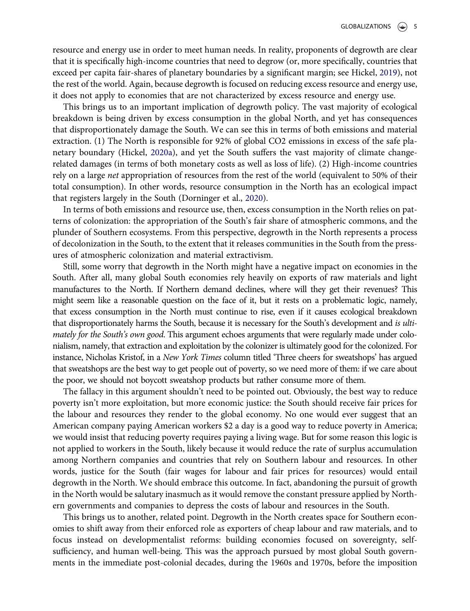<span id="page-4-0"></span>resource and energy use in order to meet human needs. In reality, proponents of degrowth are clear that it is specifically high-income countries that need to degrow (or, more specifically, countries that exceed per capita fair-shares of planetary boundaries by a significant margin; see Hickel, [2019\)](#page-6-0), not the rest of the world. Again, because degrowth is focused on reducing excess resource and energy use, it does not apply to economies that are not characterized by excess resource and energy use.

This brings us to an important implication of degrowth policy. The vast majority of ecological breakdown is being driven by excess consumption in the global North, and yet has consequences that disproportionately damage the South. We can see this in terms of both emissions and material extraction. (1) The North is responsible for 92% of global CO2 emissions in excess of the safe planetary boundary (Hickel, [2020a](#page-6-0)), and yet the South suffers the vast majority of climate changerelated damages (in terms of both monetary costs as well as loss of life). (2) High-income countries rely on a large net appropriation of resources from the rest of the world (equivalent to 50% of their total consumption). In other words, resource consumption in the North has an ecological impact that registers largely in the South (Dorninger et al., [2020\)](#page-5-0).

In terms of both emissions and resource use, then, excess consumption in the North relies on patterns of colonization: the appropriation of the South's fair share of atmospheric commons, and the plunder of Southern ecosystems. From this perspective, degrowth in the North represents a process of decolonization in the South, to the extent that it releases communities in the South from the pressures of atmospheric colonization and material extractivism.

Still, some worry that degrowth in the North might have a negative impact on economies in the South. After all, many global South economies rely heavily on exports of raw materials and light manufactures to the North. If Northern demand declines, where will they get their revenues? This might seem like a reasonable question on the face of it, but it rests on a problematic logic, namely, that excess consumption in the North must continue to rise, even if it causes ecological breakdown that disproportionately harms the South, because it is necessary for the South's development and is ultimately for the South's own good. This argument echoes arguments that were regularly made under colonialism, namely, that extraction and exploitation by the colonizer is ultimately good for the colonized. For instance, Nicholas Kristof, in a New York Times column titled 'Three cheers for sweatshops' has argued that sweatshops are the best way to get people out of poverty, so we need more of them: if we care about the poor, we should not boycott sweatshop products but rather consume more of them.

The fallacy in this argument shouldn't need to be pointed out. Obviously, the best way to reduce poverty isn't more exploitation, but more economic justice: the South should receive fair prices for the labour and resources they render to the global economy. No one would ever suggest that an American company paying American workers \$2 a day is a good way to reduce poverty in America; we would insist that reducing poverty requires paying a living wage. But for some reason this logic is not applied to workers in the South, likely because it would reduce the rate of surplus accumulation among Northern companies and countries that rely on Southern labour and resources. In other words, justice for the South (fair wages for labour and fair prices for resources) would entail degrowth in the North. We should embrace this outcome. In fact, abandoning the pursuit of growth in the North would be salutary inasmuch as it would remove the constant pressure applied by Northern governments and companies to depress the costs of labour and resources in the South.

This brings us to another, related point. Degrowth in the North creates space for Southern economies to shift away from their enforced role as exporters of cheap labour and raw materials, and to focus instead on developmentalist reforms: building economies focused on sovereignty, selfsufficiency, and human well-being. This was the approach pursued by most global South governments in the immediate post-colonial decades, during the 1960s and 1970s, before the imposition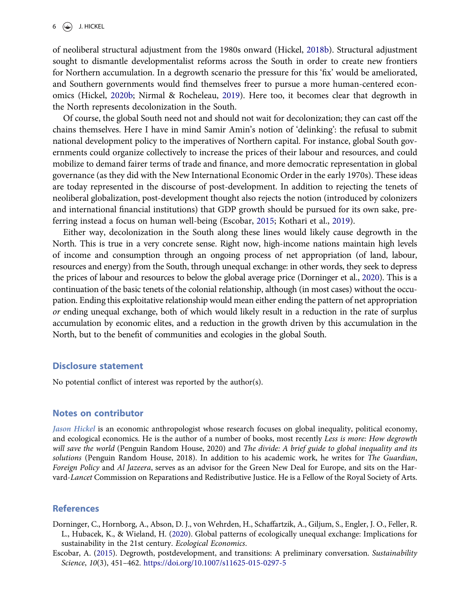<span id="page-5-0"></span>of neoliberal structural adjustment from the 1980s onward (Hickel, [2018b\)](#page-6-0). Structural adjustment sought to dismantle developmentalist reforms across the South in order to create new frontiers for Northern accumulation. In a degrowth scenario the pressure for this 'fix' would be ameliorated, and Southern governments would find themselves freer to pursue a more human-centered economics (Hickel, [2020b;](#page-6-0) Nirmal & Rocheleau, [2019\)](#page-6-0). Here too, it becomes clear that degrowth in the North represents decolonization in the South.

Of course, the global South need not and should not wait for decolonization; they can cast off the chains themselves. Here I have in mind Samir Amin's notion of 'delinking': the refusal to submit national development policy to the imperatives of Northern capital. For instance, global South governments could organize collectively to increase the prices of their labour and resources, and could mobilize to demand fairer terms of trade and finance, and more democratic representation in global governance (as they did with the New International Economic Order in the early 1970s). These ideas are today represented in the discourse of post-development. In addition to rejecting the tenets of neoliberal globalization, post-development thought also rejects the notion (introduced by colonizers and international financial institutions) that GDP growth should be pursued for its own sake, preferring instead a focus on human well-being (Escobar, 2015; Kothari et al., [2019\)](#page-6-0).

Either way, decolonization in the South along these lines would likely cause degrowth in the North. This is true in a very concrete sense. Right now, high-income nations maintain high levels of income and consumption through an ongoing process of net appropriation (of land, labour, resources and energy) from the South, through unequal exchange: in other words, they seek to depress the prices of labour and resources to below the global average price (Dorninger et al., 2020). This is a continuation of the basic tenets of the colonial relationship, although (in most cases) without the occupation. Ending this exploitative relationship would mean either ending the pattern of net appropriation or ending unequal exchange, both of which would likely result in a reduction in the rate of surplus accumulation by economic elites, and a reduction in the growth driven by this accumulation in the North, but to the benefit of communities and ecologies in the global South.

### Disclosure statement

No potential conflict of interest was reported by the author(s).

### Notes on contributor

Jason Hickel is an economic anthropologist whose research focuses on global inequality, political economy, and ecological economics. He is the author of a number of books, most recently Less is more: How degrowth will save the world (Penguin Random House, 2020) and The divide: A brief guide to global inequality and its solutions (Penguin Random House, 2018). In addition to his academic work, he writes for The Guardian, Foreign Policy and Al Jazeera, serves as an advisor for the Green New Deal for Europe, and sits on the Harvard-Lancet Commission on Reparations and Redistributive Justice. He is a Fellow of the Royal Society of Arts.

### References

- Dorninger, C., Hornborg, A., Abson, D. J., von Wehrden, H., Schaffartzik, A., Giljum, S., Engler, J. O., Feller, R. L., Hubacek, K., & Wieland, H. [\(2020](#page-4-0)). Global patterns of ecologically unequal exchange: Implications for sustainability in the 21st century. Ecological Economics.
- Escobar, A. (2015). Degrowth, postdevelopment, and transitions: A preliminary conversation. Sustainability Science, 10(3), 451–462. <https://doi.org/10.1007/s11625-015-0297-5>